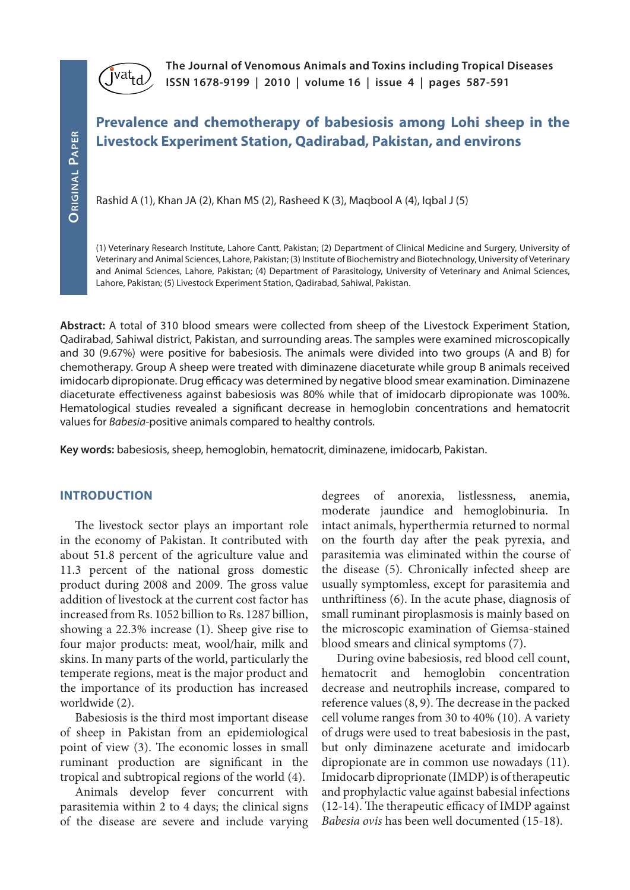

**The Journal of Venomous Animals and Toxins including Tropical Diseases ISSN 1678-9199 | 2010 | volume 16 | issue 4 | pages 587-591** 

# **Prevalence and chemotherapy of babesiosis among Lohi sheep in the Livestock Experiment Station, Qadirabad, Pakistan, and environs**

Rashid A (1), Khan JA (2), Khan MS (2), Rasheed K (3), Maqbool A (4), Iqbal J (5)

(1) Veterinary Research Institute, Lahore Cantt, Pakistan; (2) Department of Clinical Medicine and Surgery, University of Veterinary and Animal Sciences, Lahore, Pakistan; (3) Institute of Biochemistry and Biotechnology, University of Veterinary and Animal Sciences, Lahore, Pakistan; (4) Department of Parasitology, University of Veterinary and Animal Sciences, Lahore, Pakistan; (5) Livestock Experiment Station, Qadirabad, Sahiwal, Pakistan.

**Abstract:** A total of 310 blood smears were collected from sheep of the Livestock Experiment Station, Qadirabad, Sahiwal district, Pakistan, and surrounding areas. The samples were examined microscopically and 30 (9.67%) were positive for babesiosis. The animals were divided into two groups (A and B) for chemotherapy. Group A sheep were treated with diminazene diaceturate while group B animals received imidocarb dipropionate. Drug efficacy was determined by negative blood smear examination. Diminazene diaceturate effectiveness against babesiosis was 80% while that of imidocarb dipropionate was 100%. Hematological studies revealed a significant decrease in hemoglobin concentrations and hematocrit values for *Babesia*-positive animals compared to healthy controls.

**Key words:** babesiosis, sheep, hemoglobin, hematocrit, diminazene, imidocarb, Pakistan.

#### **INTRODUCTION**

The livestock sector plays an important role in the economy of Pakistan. It contributed with about 51.8 percent of the agriculture value and 11.3 percent of the national gross domestic product during 2008 and 2009. The gross value addition of livestock at the current cost factor has increased from Rs. 1052 billion to Rs. 1287 billion, showing a 22.3% increase (1). Sheep give rise to four major products: meat, wool/hair, milk and skins. In many parts of the world, particularly the temperate regions, meat is the major product and the importance of its production has increased worldwide (2).

Babesiosis is the third most important disease of sheep in Pakistan from an epidemiological point of view (3). The economic losses in small ruminant production are significant in the tropical and subtropical regions of the world (4).

Animals develop fever concurrent with parasitemia within 2 to 4 days; the clinical signs of the disease are severe and include varying degrees of anorexia, listlessness, anemia, moderate jaundice and hemoglobinuria. In intact animals, hyperthermia returned to normal on the fourth day after the peak pyrexia, and parasitemia was eliminated within the course of the disease (5). Chronically infected sheep are usually symptomless, except for parasitemia and unthriftiness (6). In the acute phase, diagnosis of small ruminant piroplasmosis is mainly based on the microscopic examination of Giemsa-stained blood smears and clinical symptoms (7).

During ovine babesiosis, red blood cell count, hematocrit and hemoglobin concentration decrease and neutrophils increase, compared to reference values (8, 9). The decrease in the packed cell volume ranges from 30 to 40% (10). A variety of drugs were used to treat babesiosis in the past, but only diminazene aceturate and imidocarb dipropionate are in common use nowadays (11). Imidocarb diproprionate (IMDP) is of therapeutic and prophylactic value against babesial infections (12-14). The therapeutic efficacy of IMDP against *Babesia ovis* has been well documented (15-18).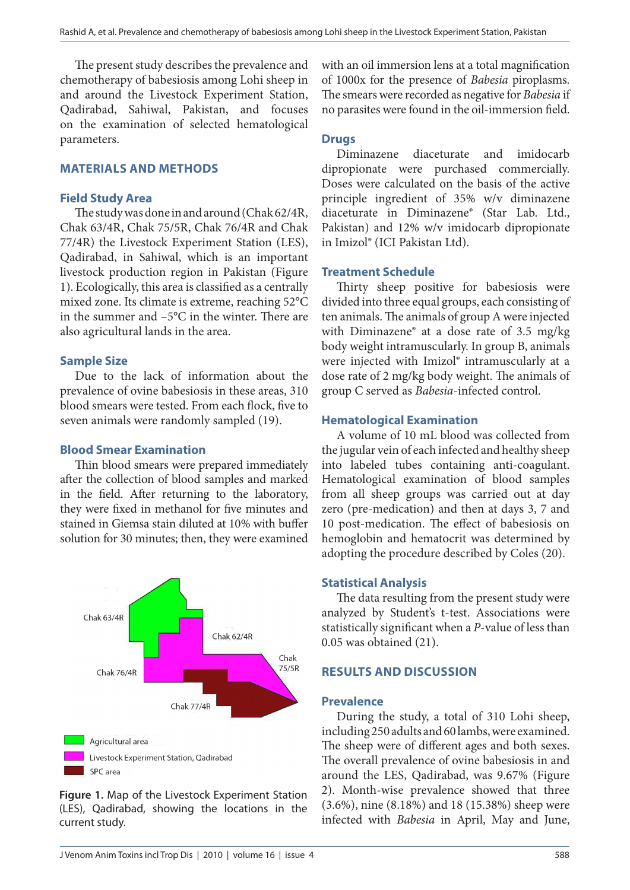The present study describes the prevalence and chemotherapy of babesiosis among Lohi sheep in and around the Livestock Experiment Station, Qadirabad, Sahiwal, Pakistan, and focuses on the examination of selected hematological parameters.

#### **MATERIALS AND METHODS**

## **Field Study Area**

The study was done in and around (Chak 62/4R, Chak 63/4R, Chak 75/5R, Chak 76/4R and Chak 77/4R) the Livestock Experiment Station (LES), Qadirabad, in Sahiwal, which is an important livestock production region in Pakistan (Figure 1). Ecologically, this area is classified as a centrally mixed zone. Its climate is extreme, reaching 52°C in the summer and –5°C in the winter. There are also agricultural lands in the area.

## **Sample Size**

Due to the lack of information about the prevalence of ovine babesiosis in these areas, 310 blood smears were tested. From each flock, five to seven animals were randomly sampled (19).

#### **Blood Smear Examination**

Thin blood smears were prepared immediately after the collection of blood samples and marked in the field. After returning to the laboratory, they were fixed in methanol for five minutes and stained in Giemsa stain diluted at 10% with buffer solution for 30 minutes; then, they were examined



**Figure 1.** Map of the Livestock Experiment Station (LES), Qadirabad, showing the locations in the current study.

with an oil immersion lens at a total magnification of 1000x for the presence of *Babesia* piroplasms. The smears were recorded as negative for *Babesia* if no parasites were found in the oil-immersion field.

# **Drugs**

Diminazene diaceturate and imidocarb dipropionate were purchased commercially. Doses were calculated on the basis of the active principle ingredient of 35% w/v diminazene diaceturate in Diminazene® (Star Lab. Ltd., Pakistan) and 12% w/v imidocarb dipropionate in Imizol® (ICI Pakistan Ltd).

# **Treatment Schedule**

Thirty sheep positive for babesiosis were divided into three equal groups, each consisting of ten animals. The animals of group A were injected with Diminazene® at a dose rate of 3.5 mg/kg body weight intramuscularly. In group B, animals were injected with Imizol® intramuscularly at a dose rate of 2 mg/kg body weight. The animals of group C served as *Babesia*-infected control.

# **Hematological Examination**

A volume of 10 mL blood was collected from the jugular vein of each infected and healthy sheep into labeled tubes containing anti-coagulant. Hematological examination of blood samples from all sheep groups was carried out at day zero (pre-medication) and then at days 3, 7 and 10 post-medication. The effect of babesiosis on hemoglobin and hematocrit was determined by adopting the procedure described by Coles (20).

# **Statistical Analysis**

The data resulting from the present study were analyzed by Student's t-test. Associations were statistically significant when a *P*-value of less than 0.05 was obtained (21).

# **RESULTS AND DISCUSSION**

#### **Prevalence**

During the study, a total of 310 Lohi sheep, including 250 adults and 60 lambs, were examined. The sheep were of different ages and both sexes. The overall prevalence of ovine babesiosis in and around the LES, Qadirabad, was 9.67% (Figure 2). Month-wise prevalence showed that three (3.6%), nine (8.18%) and 18 (15.38%) sheep were infected with *Babesia* in April, May and June,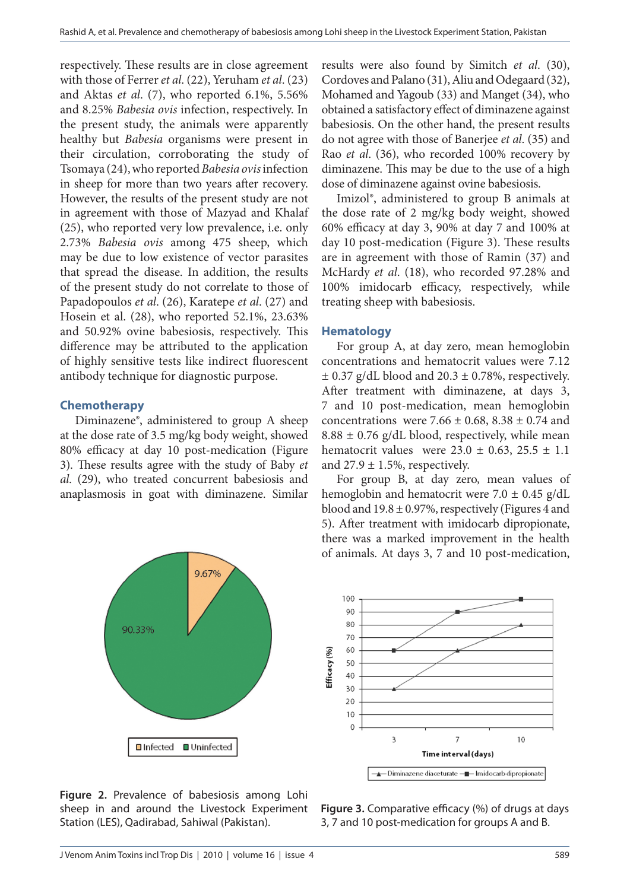respectively. These results are in close agreement with those of Ferrer *et al*. (22), Yeruham *et al*. (23) and Aktas *et al*. (7), who reported 6.1%, 5.56% and 8.25% *Babesia ovis* infection, respectively. In the present study, the animals were apparently healthy but *Babesia* organisms were present in their circulation, corroborating the study of Tsomaya (24), who reported *Babesia ovis* infection in sheep for more than two years after recovery. However, the results of the present study are not in agreement with those of Mazyad and Khalaf (25), who reported very low prevalence, i.e. only 2.73% *Babesia ovis* among 475 sheep, which may be due to low existence of vector parasites that spread the disease. In addition, the results of the present study do not correlate to those of Papadopoulos *et al*. (26), Karatepe *et al*. (27) and Hosein et al. (28), who reported 52.1%, 23.63% and 50.92% ovine babesiosis, respectively. This difference may be attributed to the application of highly sensitive tests like indirect fluorescent antibody technique for diagnostic purpose.

# **Chemotherapy**

Diminazene®, administered to group A sheep at the dose rate of 3.5 mg/kg body weight, showed 80% efficacy at day 10 post-medication (Figure 3). These results agree with the study of Baby *et al*. (29), who treated concurrent babesiosis and anaplasmosis in goat with diminazene. Similar



**Figure 2.** Prevalence of babesiosis among Lohi sheep in and around the Livestock Experiment Station (LES), Qadirabad, Sahiwal (Pakistan).

results were also found by Simitch *et al*. (30), Cordoves and Palano (31), Aliu and Odegaard (32), Mohamed and Yagoub (33) and Manget (34), who obtained a satisfactory effect of diminazene against babesiosis. On the other hand, the present results do not agree with those of Banerjee *et al*. (35) and Rao *et al*. (36), who recorded 100% recovery by diminazene. This may be due to the use of a high dose of diminazene against ovine babesiosis.

Imizol®, administered to group B animals at the dose rate of 2 mg/kg body weight, showed 60% efficacy at day 3, 90% at day 7 and 100% at day 10 post-medication (Figure 3). These results are in agreement with those of Ramin (37) and McHardy *et al*. (18), who recorded 97.28% and 100% imidocarb efficacy, respectively, while treating sheep with babesiosis.

## **Hematology**

For group A, at day zero, mean hemoglobin concentrations and hematocrit values were 7.12  $\pm$  0.37 g/dL blood and 20.3  $\pm$  0.78%, respectively. After treatment with diminazene, at days 3, 7 and 10 post-medication, mean hemoglobin concentrations were 7.66  $\pm$  0.68, 8.38  $\pm$  0.74 and  $8.88 \pm 0.76$  g/dL blood, respectively, while mean hematocrit values were  $23.0 \pm 0.63$ ,  $25.5 \pm 1.1$ and  $27.9 \pm 1.5$ %, respectively.

For group B, at day zero, mean values of hemoglobin and hematocrit were  $7.0 \pm 0.45$  g/dL blood and  $19.8 \pm 0.97$ %, respectively (Figures 4 and 5). After treatment with imidocarb dipropionate, there was a marked improvement in the health of animals. At days 3, 7 and 10 post-medication,



**Figure 3.** Comparative efficacy (%) of drugs at days 3, 7 and 10 post-medication for groups A and B.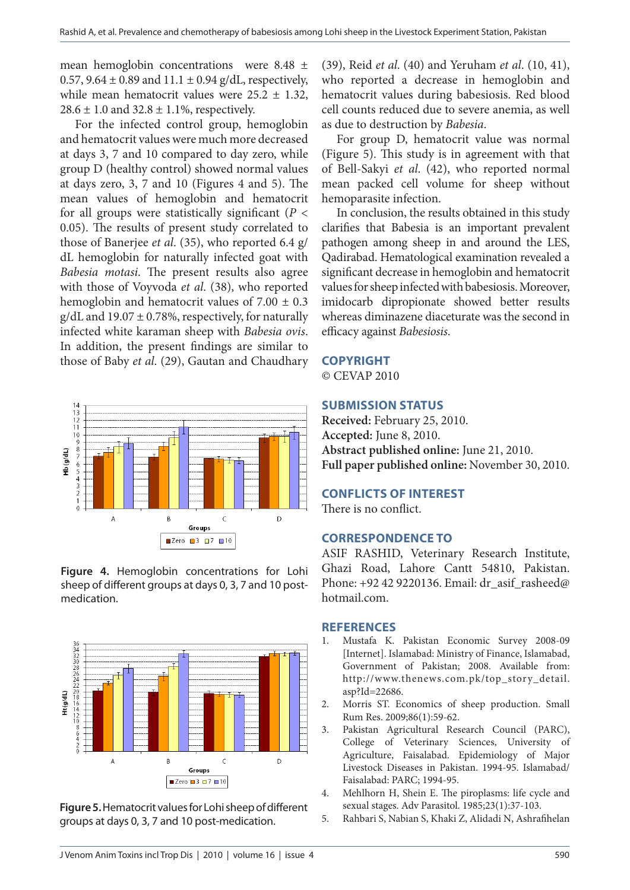mean hemoglobin concentrations were 8.48 ± 0.57,  $9.64 \pm 0.89$  and  $11.1 \pm 0.94$  g/dL, respectively, while mean hematocrit values were  $25.2 \pm 1.32$ ,  $28.6 \pm 1.0$  and  $32.8 \pm 1.1$ %, respectively.

For the infected control group, hemoglobin and hematocrit values were much more decreased at days 3, 7 and 10 compared to day zero, while group D (healthy control) showed normal values at days zero, 3, 7 and 10 (Figures 4 and 5). The mean values of hemoglobin and hematocrit for all groups were statistically significant ( $P <$ 0.05). The results of present study correlated to those of Banerjee *et al*. (35), who reported 6.4 g/ dL hemoglobin for naturally infected goat with *Babesia motasi*. The present results also agree with those of Voyvoda *et al*. (38), who reported hemoglobin and hematocrit values of  $7.00 \pm 0.3$  $g/dL$  and 19.07  $\pm$  0.78%, respectively, for naturally infected white karaman sheep with *Babesia ovis*. In addition, the present findings are similar to those of Baby *et al*. (29), Gautan and Chaudhary



**Figure 4.** Hemoglobin concentrations for Lohi sheep of different groups at days 0, 3, 7 and 10 postmedication.



**Figure 5.** Hematocrit values for Lohi sheep of different groups at days 0, 3, 7 and 10 post-medication.

(39), Reid *et al*. (40) and Yeruham *et al*. (10, 41), who reported a decrease in hemoglobin and hematocrit values during babesiosis. Red blood cell counts reduced due to severe anemia, as well as due to destruction by *Babesia*.

For group D, hematocrit value was normal (Figure 5). This study is in agreement with that of Bell-Sakyi *et al*. (42), who reported normal mean packed cell volume for sheep without hemoparasite infection.

In conclusion, the results obtained in this study clarifies that Babesia is an important prevalent pathogen among sheep in and around the LES, Qadirabad. Hematological examination revealed a significant decrease in hemoglobin and hematocrit values for sheep infected with babesiosis. Moreover, imidocarb dipropionate showed better results whereas diminazene diaceturate was the second in efficacy against *Babesiosis*.

#### **COPYRIGHT**

© CEVAP 2010

## **SUBMISSION STATUS**

**Received:** February 25, 2010. **Accepted:** June 8, 2010. **Abstract published online:** June 21, 2010. **Full paper published online:** November 30, 2010.

# **CONFLICTS OF INTEREST**

There is no conflict.

## **CORRESPONDENCE TO**

ASIF RASHID, Veterinary Research Institute, Ghazi Road, Lahore Cantt 54810, Pakistan. Phone: +92 42 9220136. Email: dr\_asif\_rasheed@ hotmail.com.

#### **REFERENCES**

- 1. Mustafa K. Pakistan Economic Survey 2008-09 [Internet]. Islamabad: Ministry of Finance, Islamabad, Government of Pakistan; 2008. Available from: http://www.thenews.com.pk/top\_story\_detail. asp?Id=22686.
- 2. Morris ST. Economics of sheep production. Small Rum Res. 2009;86(1):59-62.
- 3. Pakistan Agricultural Research Council (PARC), College of Veterinary Sciences, University of Agriculture, Faisalabad. Epidemiology of Major Livestock Diseases in Pakistan. 1994-95. Islamabad/ Faisalabad: PARC; 1994-95.
- 4. Mehlhorn H, Shein E. The piroplasms: life cycle and sexual stages. Adv Parasitol. 1985;23(1):37-103.
- 5. Rahbari S, Nabian S, Khaki Z, Alidadi N, Ashrafihelan